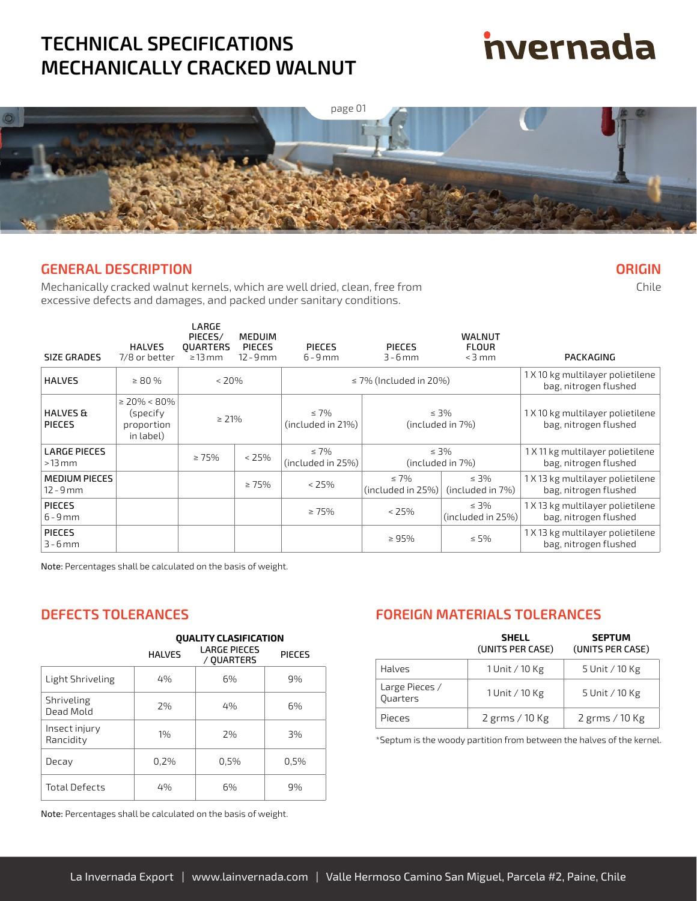## **TECHNICAL SPECIFICATIONS MECHANICALLY CRACKED WALNUT**

# **nvernada**

**ORIGIN** Chile



#### **GENERAL DESCRIPTION**

Mechanically cracked walnut kernels, which are well dried, clean, free from excessive defects and damages, and packed under sanitary conditions.

| SIZE GRADES                          | <b>HALVES</b><br>7/8 or better                          | LARGE<br>PIECES/<br><b>OUARTERS</b><br>$\geq$ 13 mm | <b>MEDUIM</b><br><b>PIECES</b><br>$12 - 9$ mm | <b>PIECES</b><br>$6 - 9$ mm     | <b>PIFCES</b><br>$3 - 6$ mm     | <b>WALNUT</b><br><b>FLOUR</b><br>$<$ 3 mm | PACKAGING                                                 |
|--------------------------------------|---------------------------------------------------------|-----------------------------------------------------|-----------------------------------------------|---------------------------------|---------------------------------|-------------------------------------------|-----------------------------------------------------------|
| <b>HALVES</b>                        | $\geq 80\%$                                             | $<$ 20%                                             |                                               |                                 | $\leq$ 7% (Included in 20%)     |                                           | 1 X 10 kg multilayer polietilene<br>bag, nitrogen flushed |
| <b>HALVES &amp;</b><br><b>PIECES</b> | $\geq$ 20% < 80%<br>(specify<br>proportion<br>in label) | $\geq 21\%$                                         |                                               | $\leq 7\%$<br>(included in 21%) |                                 | $\leq$ 3%<br>(included in 7%)             | 1 X 10 kg multilayer polietilene<br>bag, nitrogen flushed |
| <b>LARGE PIECES</b><br>$>13$ mm      |                                                         | $\geq 75\%$                                         | $< 25\%$                                      | $\leq 7\%$<br>(included in 25%) |                                 | $\leq$ 3%<br>(included in 7%)             | 1 X 11 kg multilayer polietilene<br>bag, nitrogen flushed |
| <b>MEDIUM PIECES</b><br>12 - 9 mm    |                                                         |                                                     | $\geq 75\%$                                   | < 25%                           | $\leq 7\%$<br>(included in 25%) | $\leq$ 3%<br>(included in 7%)             | 1 X 13 kg multilayer polietilene<br>bag, nitrogen flushed |
| <b>PIECES</b><br>$6 - 9$ mm          |                                                         |                                                     |                                               | $\geq 75\%$                     | $<$ 25%                         | $\leq 3\%$<br>(included in 25%)           | 1 X 13 kg multilayer polietilene<br>bag, nitrogen flushed |
| <b>PIECES</b><br>$3 - 6$ mm          |                                                         |                                                     |                                               |                                 | $\geq 95\%$                     | $\leq 5\%$                                | 1 X 13 kg multilayer polietilene<br>bag, nitrogen flushed |

Note: Percentages shall be calculated on the basis of weight.

|                            | <b>HALVES</b> | <b>LARGE PIECES</b><br>/ QUARTERS | PIECES |
|----------------------------|---------------|-----------------------------------|--------|
| Light Shriveling           | 4%            | 6%                                | 9%     |
| Shriveling<br>Dead Mold    | 2%            | 4%                                | 6%     |
| Insect injury<br>Rancidity | 1%            | 2%                                | 3%     |
| Decay                      | 0,2%          | 0,5%                              | 0,5%   |
| Total Defects              | 4%            | 6%                                | 9%     |

**QUALITY CLASIFICATION**

Note: Percentages shall be calculated on the basis of weight.

#### **DEFECTS TOLERANCES FOREIGN MATERIALS TOLERANCES**

|                                   | <b>SHELL</b><br>(UNITS PER CASE) | <b>SEPTUM</b><br>(UNITS PER CASE) |
|-----------------------------------|----------------------------------|-----------------------------------|
| <b>Halves</b>                     | 1 Unit / 10 Kg                   | 5 Unit / 10 Kg                    |
| Large Pieces /<br><b>Ouarters</b> | 1 Unit / 10 Kg                   | 5 Unit / 10 Kg                    |
| Pieces                            | $2$ grms / 10 Kg                 | $2$ grms / 10 Kg                  |

\*Septum is the woody partition from between the halves of the kernel.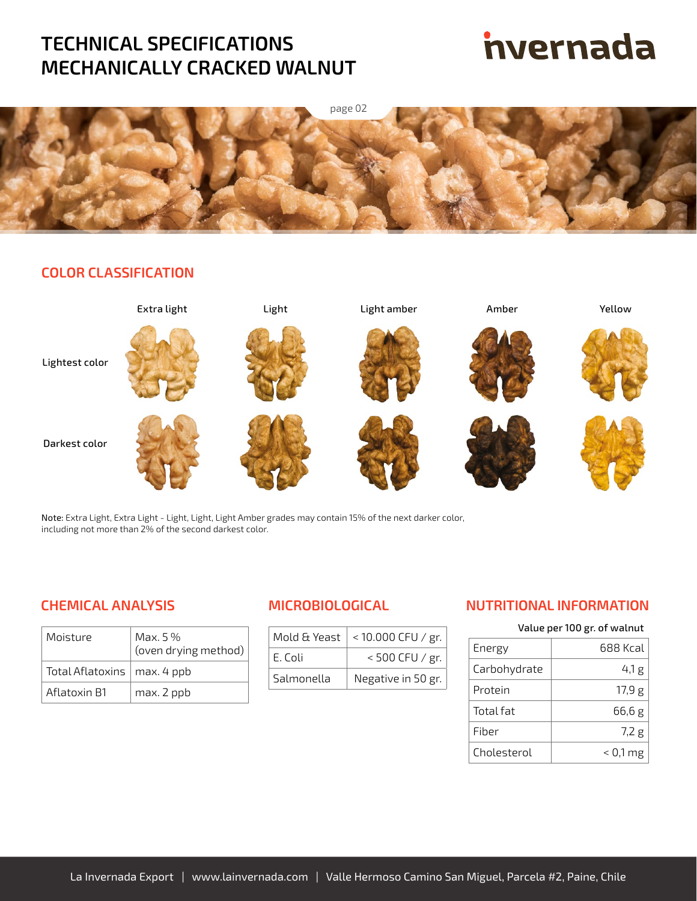## **TECHNICAL SPECIFICATIONS MECHANICALLY CRACKED WALNUT**

# **nvernada**



### **COLOR CLASSIFICATION**



Note: Extra Light, Extra Light - Light, Light, Light Amber grades may contain 15% of the next darker color, including not more than 2% of the second darkest color.

### **CHEMICAL ANALYSIS MICROBIOLOGICAL**

| Moisture                      | Max. 5 %<br>(oven drying method) |
|-------------------------------|----------------------------------|
| Total Aflatoxins   max. 4 ppb |                                  |
| Aflatoxin B1                  | max. 2 ppb                       |

| Mold & Yeast | $< 10.000$ CFU / gr. |
|--------------|----------------------|
| F. Coli      | $< 500$ CFU / gr.    |
| Salmonella   | Negative in 50 gr.   |

### **NUTRITIONAL INFORMATION**

| Value per 100 gr. of walnut |  |  |
|-----------------------------|--|--|
|                             |  |  |

| Energy       | 688 Kcal   |
|--------------|------------|
| Carbohydrate | 4,1 g      |
| Protein      | 17,9g      |
| Total fat    | 66,6g      |
| Fiber        | 7,2g       |
| Cholesterol  | $< 0.1$ mg |